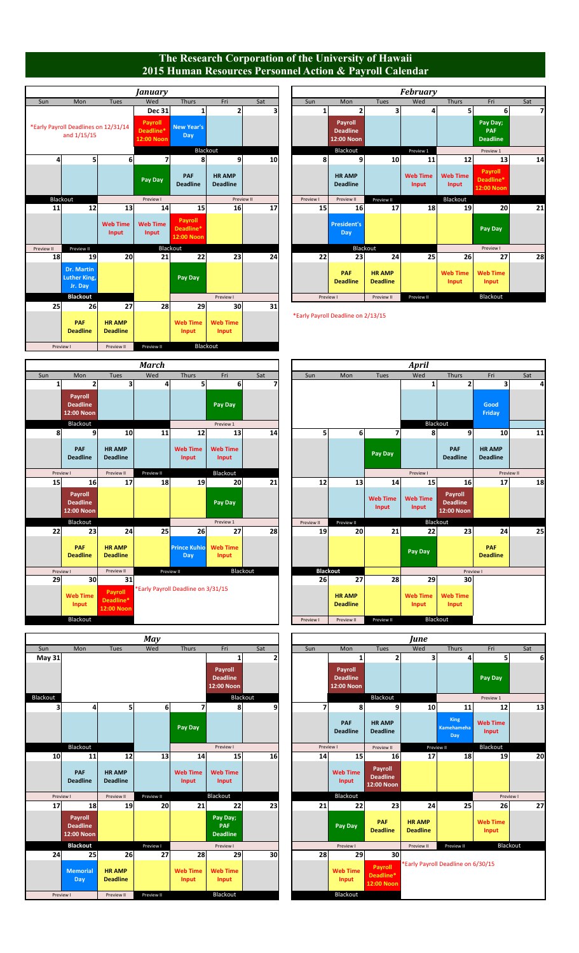## **The Research Corporation of the University of Hawaii 2015 Human Resources Personnel Action & Payroll Calendar**

|                                     |                         |     |                                  |                                    | January                                   |                                        |                                                     |                |
|-------------------------------------|-------------------------|-----|----------------------------------|------------------------------------|-------------------------------------------|----------------------------------------|-----------------------------------------------------|----------------|
| Mon                                 | Sun                     | Sat | Fri                              | <b>Thurs</b>                       | Wed                                       | Tues                                   | Mon                                                 | Sun            |
|                                     | 1                       | 3   | 2                                | $\mathbf{1}$                       | <b>Dec 31</b>                             |                                        |                                                     |                |
| Payro<br><b>Deadlin</b><br>12:00 No |                         |     |                                  | <b>New Year's</b><br>Day           | <b>Payroll</b><br>Deadline*<br>12:00 Noon |                                        | *Early Payroll Deadlines on 12/31/14<br>and 1/15/15 |                |
| <b>Blacko</b>                       |                         |     |                                  | Blackout                           |                                           |                                        |                                                     |                |
|                                     | 8                       | 10  | 9                                | 8                                  | 7                                         | 6                                      | 5 <sup>1</sup>                                      | $\overline{4}$ |
| <b>HRAM</b><br><b>Deadlin</b>       |                         |     | <b>HR AMP</b><br><b>Deadline</b> | PAF<br><b>Deadline</b>             | Pay Day                                   |                                        |                                                     |                |
| Preview                             | Preview I               |     | Preview II                       |                                    | Preview I                                 |                                        | Blackout                                            |                |
|                                     | 15                      | 17  | 16                               | 15                                 | 14                                        | 13                                     | 12                                                  | 11             |
| <b>Presider</b><br>Day              |                         |     |                                  | Payroll<br>Deadline*<br>12:00 Noon | <b>Web Time</b><br>Input                  | <b>Web Time</b><br><b>Input</b>        |                                                     |                |
|                                     |                         |     |                                  | Blackout                           |                                           |                                        | Preview II                                          | Preview II     |
|                                     | 22                      | 24  | 23                               | 22                                 | 21                                        | 20                                     | 19                                                  | 18             |
| <b>PAF</b><br><b>Deadlin</b>        |                         |     |                                  | <b>Pay Day</b>                     |                                           |                                        | <b>Dr. Martin</b><br><b>Luther King,</b><br>Jr. Day |                |
| Preview I                           |                         |     | Preview I                        |                                    |                                           |                                        | <b>Blackout</b>                                     |                |
|                                     | *Early Payroll Deadline | 31  | 30<br><b>Web Time</b><br>Input   | 29<br><b>Web Time</b><br>Input     | 28                                        | 27<br><b>HR AMP</b><br><b>Deadline</b> | 26<br>PAF<br><b>Deadline</b>                        | 25             |
|                                     |                         |     |                                  | Blackout                           | Preview II                                | Preview II                             | Preview I                                           |                |

|                                                            |                                              |                          | January                            |                                    |                                  |     |                       |                                          |                                  | <b>February</b>          |                          |                                           |     |
|------------------------------------------------------------|----------------------------------------------|--------------------------|------------------------------------|------------------------------------|----------------------------------|-----|-----------------------|------------------------------------------|----------------------------------|--------------------------|--------------------------|-------------------------------------------|-----|
| Sun                                                        | Mon                                          | Tues                     | Wed                                | Thurs                              | Fri                              | Sat | Sun                   | Mon                                      | Tues                             | Wed                      | Thurs                    | Fri                                       | Sat |
|                                                            |                                              |                          | <b>Dec 31</b>                      |                                    | 2                                |     | 1                     |                                          | 3                                | $\frac{4}{ }$            |                          | 6                                         |     |
| <b>Inches</b> Payroll Deadlines on 12/31/14<br>and 1/15/15 |                                              |                          | Payroll<br>Deadline*<br>12:00 Noon | <b>New Year's</b><br>Day           |                                  |     |                       | Payroll<br><b>Deadline</b><br>12:00 Noon |                                  |                          |                          | Pay Day;<br><b>PAF</b><br><b>Deadline</b> |     |
|                                                            |                                              |                          |                                    | Blackout                           |                                  |     |                       | Blackout                                 |                                  | Preview 1                |                          | Preview 1                                 |     |
| 4                                                          | 5                                            | $6 \mid$                 |                                    |                                    | 9                                | 10  | 8                     | q                                        | 10                               | 11                       | 12                       | 13                                        | 14  |
|                                                            |                                              |                          | Pay Day                            | PAF<br><b>Deadline</b>             | <b>HR AMP</b><br><b>Deadline</b> |     |                       | <b>HR AMP</b><br><b>Deadline</b>         |                                  | <b>Web Time</b><br>Input | <b>Web Time</b><br>Input | Payroll<br>Deadline*<br>12:00 Noon        |     |
|                                                            | Blackout                                     |                          | Preview I                          |                                    | Preview II                       |     | Preview I             | Preview II                               | Preview II                       |                          | Blackout                 |                                           |     |
| 11                                                         | 12                                           | 13                       | 14                                 | 15                                 | 16                               | 17  | 15                    | 16                                       | 17                               | 18                       | 19                       | 20                                        | 21  |
|                                                            |                                              | <b>Web Time</b><br>Input | <b>Web Time</b><br>Input           | Payroll<br>Deadline*<br>12:00 Noon |                                  |     |                       | <b>President's</b><br>Day                |                                  |                          |                          | Pay Day                                   |     |
| eview II                                                   | Preview II                                   |                          | Blackout                           |                                    |                                  |     | Blackout<br>Preview I |                                          |                                  |                          |                          |                                           |     |
| 18                                                         | 19                                           | 20                       | 21                                 | 22                                 | 23                               | 24  | 22                    | 23                                       | 24                               | 25                       | 26                       | 27                                        | 28  |
|                                                            | <b>Dr. Martin</b><br>Luther King,<br>Jr. Day |                          |                                    | Pay Day                            |                                  |     |                       | <b>PAF</b><br><b>Deadline</b>            | <b>HR AMP</b><br><b>Deadline</b> |                          | <b>Web Time</b><br>Input | <b>Web Time</b><br>Input                  |     |
|                                                            | <b>Blackout</b>                              |                          |                                    |                                    | Preview I                        |     | Preview I             |                                          | Preview II                       | Preview II               |                          | Blackout                                  |     |

\*Early Payroll Deadline on 2/13/15



|                 |                                          |                                  | <b>May</b>     |                          |                                          |           |                 |                                          |                                          | June                             |                                    |                          |     |  |          |  |
|-----------------|------------------------------------------|----------------------------------|----------------|--------------------------|------------------------------------------|-----------|-----------------|------------------------------------------|------------------------------------------|----------------------------------|------------------------------------|--------------------------|-----|--|----------|--|
| Sun             | Mon                                      | Tues                             | Wed            | Thurs                    | Fri                                      | Sat       | Sun             | Mon                                      | Tues                                     | Wed                              | Thurs                              | Fri                      | Sat |  |          |  |
| <b>May 31</b>   |                                          |                                  |                |                          |                                          |           |                 | 1                                        | 2                                        | 3                                | 4                                  |                          | 6   |  |          |  |
|                 |                                          |                                  |                |                          | Payroll<br><b>Deadline</b><br>12:00 Noon |           |                 | Payroll<br><b>Deadline</b><br>12:00 Noon |                                          |                                  |                                    | Pay Day                  |     |  |          |  |
| lackout         |                                          |                                  |                |                          | Blackout                                 |           |                 |                                          | Blackout                                 |                                  |                                    | Preview 1                |     |  |          |  |
| 3               | 4                                        | 51                               | 6 <sup>1</sup> | $\overline{\mathbf{z}}$  | 8                                        | 9         | 71              | 8                                        | $\mathbf{9}$                             | 10                               | 11                                 | 12                       | 13  |  |          |  |
|                 |                                          |                                  |                | Pay Day                  |                                          |           |                 | PAF<br><b>Deadline</b>                   | <b>HR AMP</b><br><b>Deadline</b>         |                                  | King<br>Kamehameha<br>Day          | <b>Web Time</b><br>Input |     |  |          |  |
|                 | Blackout                                 |                                  |                |                          |                                          |           | Preview I       |                                          | Preview I                                |                                  | Preview II                         | Preview II               |     |  | Blackout |  |
| 10 <sup>1</sup> | 11                                       | 12                               | 13             | 14                       | 15                                       | 16        | 14              | 15                                       | 16                                       | 17                               | 18                                 | 19                       | 20  |  |          |  |
|                 | PAF<br><b>Deadline</b>                   | <b>HR AMP</b><br><b>Deadline</b> |                | <b>Web Time</b><br>Input | <b>Web Time</b><br>Input                 |           |                 | <b>Web Time</b><br>Input                 | Payroll<br><b>Deadline</b><br>12:00 Noon |                                  |                                    |                          |     |  |          |  |
| Preview I       |                                          | Preview II                       | Preview II     |                          | Blackout                                 |           |                 | Blackout                                 |                                          |                                  |                                    | Preview I                |     |  |          |  |
| 17              | 18                                       | 19                               | 20             | 21                       | 22                                       | 23        | 21              | 22                                       | 23                                       | 24                               | 25                                 | 26                       | 27  |  |          |  |
|                 | Payroll<br><b>Deadline</b><br>12:00 Noon |                                  |                |                          | Pay Day;<br>PAF<br><b>Deadline</b>       |           |                 | Pay Day                                  | PAF<br><b>Deadline</b>                   | <b>HR AMP</b><br><b>Deadline</b> |                                    | <b>Web Time</b><br>Input |     |  |          |  |
|                 | <b>Blackout</b>                          |                                  | Preview I      |                          | Preview I                                |           |                 | Preview I                                |                                          | Preview II                       | Preview II                         | Blackout                 |     |  |          |  |
| 24              | 25                                       | 26                               | 27             | 28                       | 29                                       | <b>30</b> | 28 <sup>2</sup> | 29                                       | 30 <sup>2</sup>                          |                                  |                                    |                          |     |  |          |  |
|                 | <b>Memorial</b><br><b>Day</b>            | <b>HR AMP</b><br><b>Deadline</b> |                | <b>Web Time</b><br>Input | <b>Web Time</b><br>Input                 |           |                 | <b>Web Time</b><br>Input                 | Payroll<br>Deadline*<br>12:00 Noon       |                                  | *Early Payroll Deadline on 6/30/15 |                          |     |  |          |  |
| Preview I       |                                          | Preview II                       | Preview II     |                          | Blackout                                 |           |                 | Blackout                                 |                                          |                                  |                                    |                          |     |  |          |  |

|                          |                                          |                                    | <b>March</b> |                                    |                          |     |                 |                                  |                          | <b>April</b>             |                                          |
|--------------------------|------------------------------------------|------------------------------------|--------------|------------------------------------|--------------------------|-----|-----------------|----------------------------------|--------------------------|--------------------------|------------------------------------------|
| Sun                      | Mon                                      | <b>Tues</b>                        | Wed          | Thurs                              | Fri                      | Sat | Sun             | Mon                              | Tues                     | Wed                      | Thurs                                    |
| 1                        | 2                                        | 3                                  | 4            | 5                                  | 6                        | 7   |                 |                                  |                          | $\mathbf{1}$             | $\overline{\mathbf{c}}$                  |
|                          | Payroll<br><b>Deadline</b><br>12:00 Noon |                                    |              |                                    | Pay Day                  |     |                 |                                  |                          |                          |                                          |
|                          | Blackout                                 |                                    |              |                                    | Preview 1                |     |                 |                                  |                          |                          | Blackout                                 |
| 8                        | 9                                        | 10                                 | 11           | 12                                 | 13                       | 14  | 5               | 6                                | 7                        | 8                        | 9                                        |
|                          | PAF<br><b>Deadline</b>                   | <b>HR AMP</b><br><b>Deadline</b>   |              | <b>Web Time</b><br>Input           | <b>Web Time</b><br>Input |     |                 |                                  | Pay Day                  |                          | PAF<br><b>Deadline</b>                   |
|                          | Preview I                                | Preview II                         | Preview II   |                                    | Blackout                 |     |                 |                                  |                          | Preview I                |                                          |
| 15                       | 16                                       | 17                                 | 18           | 19                                 | 20                       | 21  | 12              | 13                               | 14                       | 15                       | 16                                       |
|                          | Payroll<br><b>Deadline</b><br>12:00 Noon |                                    |              |                                    | Pay Day                  |     |                 |                                  | <b>Web Time</b><br>Input | <b>Web Time</b><br>Input | Payroll<br><b>Deadline</b><br>12:00 Noon |
|                          | Blackout                                 |                                    |              |                                    | Preview 1                |     | Preview II      | Preview II                       |                          |                          | Blackout                                 |
| 22                       | 23                                       | 24                                 | 25           | 26                                 | 27                       | 28  | 19              | 20                               | 21                       | 22                       | 23                                       |
|                          | PAF<br><b>Deadline</b>                   | <b>HR AMP</b><br><b>Deadline</b>   |              | <b>Prince Kuhio</b><br>Day         | <b>Web Time</b><br>Input |     |                 |                                  |                          | Pay Day                  |                                          |
|                          | Preview I                                | Preview II                         |              | Preview II                         | Blackout                 |     | <b>Blackout</b> |                                  |                          |                          | Pre                                      |
| 29                       | 30                                       | 31                                 |              |                                    |                          |     | 26              | 27                               | 28                       | 29                       | 30                                       |
| <b>Web Time</b><br>Input |                                          | Payroll<br>Deadline*<br>12:00 Noon |              | *Early Payroll Deadline on 3/31/15 |                          |     |                 | <b>HR AMP</b><br><b>Deadline</b> |                          | <b>Web Time</b><br>Input | <b>Web Time</b><br>Input                 |
|                          | Blackout                                 |                                    |              |                                    |                          |     | Preview I       | Preview II                       | Preview II               |                          | Blackout                                 |